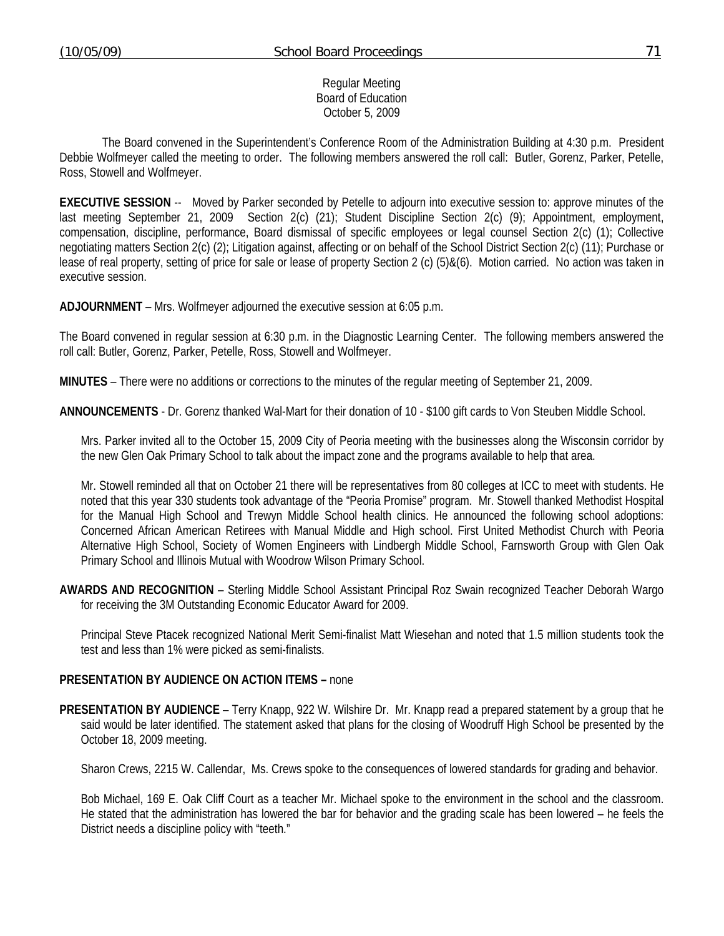#### Regular Meeting Board of Education October 5, 2009

 The Board convened in the Superintendent's Conference Room of the Administration Building at 4:30 p.m. President Debbie Wolfmeyer called the meeting to order. The following members answered the roll call: Butler, Gorenz, Parker, Petelle, Ross, Stowell and Wolfmeyer.

**EXECUTIVE SESSION** -- Moved by Parker seconded by Petelle to adjourn into executive session to: approve minutes of the last meeting September 21, 2009 Section 2(c) (21); Student Discipline Section 2(c) (9); Appointment, employment, compensation, discipline, performance, Board dismissal of specific employees or legal counsel Section 2(c) (1); Collective negotiating matters Section 2(c) (2); Litigation against, affecting or on behalf of the School District Section 2(c) (11); Purchase or lease of real property, setting of price for sale or lease of property Section 2 (c) (5)&(6). Motion carried. No action was taken in executive session.

**ADJOURNMENT** – Mrs. Wolfmeyer adjourned the executive session at 6:05 p.m.

The Board convened in regular session at 6:30 p.m. in the Diagnostic Learning Center. The following members answered the roll call: Butler, Gorenz, Parker, Petelle, Ross, Stowell and Wolfmeyer.

**MINUTES** – There were no additions or corrections to the minutes of the regular meeting of September 21, 2009.

**ANNOUNCEMENTS** - Dr. Gorenz thanked Wal-Mart for their donation of 10 - \$100 gift cards to Von Steuben Middle School.

Mrs. Parker invited all to the October 15, 2009 City of Peoria meeting with the businesses along the Wisconsin corridor by the new Glen Oak Primary School to talk about the impact zone and the programs available to help that area.

Mr. Stowell reminded all that on October 21 there will be representatives from 80 colleges at ICC to meet with students. He noted that this year 330 students took advantage of the "Peoria Promise" program. Mr. Stowell thanked Methodist Hospital for the Manual High School and Trewyn Middle School health clinics. He announced the following school adoptions: Concerned African American Retirees with Manual Middle and High school. First United Methodist Church with Peoria Alternative High School, Society of Women Engineers with Lindbergh Middle School, Farnsworth Group with Glen Oak Primary School and Illinois Mutual with Woodrow Wilson Primary School.

**AWARDS AND RECOGNITION** – Sterling Middle School Assistant Principal Roz Swain recognized Teacher Deborah Wargo for receiving the 3M Outstanding Economic Educator Award for 2009.

 Principal Steve Ptacek recognized National Merit Semi-finalist Matt Wiesehan and noted that 1.5 million students took the test and less than 1% were picked as semi-finalists.

### **PRESENTATION BY AUDIENCE ON ACTION ITEMS –** none

**PRESENTATION BY AUDIENCE** – Terry Knapp, 922 W. Wilshire Dr. Mr. Knapp read a prepared statement by a group that he said would be later identified. The statement asked that plans for the closing of Woodruff High School be presented by the October 18, 2009 meeting.

Sharon Crews, 2215 W. Callendar, Ms. Crews spoke to the consequences of lowered standards for grading and behavior.

 Bob Michael, 169 E. Oak Cliff Court as a teacher Mr. Michael spoke to the environment in the school and the classroom. He stated that the administration has lowered the bar for behavior and the grading scale has been lowered – he feels the District needs a discipline policy with "teeth."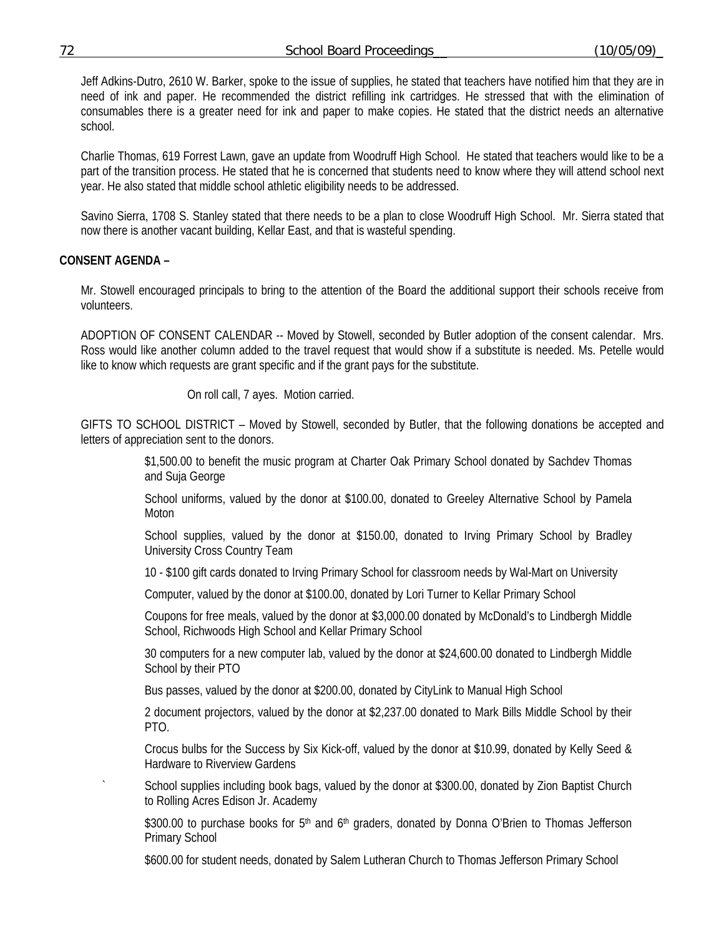Jeff Adkins-Dutro, 2610 W. Barker, spoke to the issue of supplies, he stated that teachers have notified him that they are in need of ink and paper. He recommended the district refilling ink cartridges. He stressed that with the elimination of consumables there is a greater need for ink and paper to make copies. He stated that the district needs an alternative school.

 Charlie Thomas, 619 Forrest Lawn, gave an update from Woodruff High School. He stated that teachers would like to be a part of the transition process. He stated that he is concerned that students need to know where they will attend school next year. He also stated that middle school athletic eligibility needs to be addressed.

 Savino Sierra, 1708 S. Stanley stated that there needs to be a plan to close Woodruff High School. Mr. Sierra stated that now there is another vacant building, Kellar East, and that is wasteful spending.

# **CONSENT AGENDA –**

Mr. Stowell encouraged principals to bring to the attention of the Board the additional support their schools receive from volunteers.

ADOPTION OF CONSENT CALENDAR -- Moved by Stowell, seconded by Butler adoption of the consent calendar. Mrs. Ross would like another column added to the travel request that would show if a substitute is needed. Ms. Petelle would like to know which requests are grant specific and if the grant pays for the substitute.

On roll call, 7 ayes. Motion carried.

GIFTS TO SCHOOL DISTRICT – Moved by Stowell, seconded by Butler, that the following donations be accepted and letters of appreciation sent to the donors.

> \$1,500.00 to benefit the music program at Charter Oak Primary School donated by Sachdev Thomas and Suja George

> School uniforms, valued by the donor at \$100.00, donated to Greeley Alternative School by Pamela **Moton**

> School supplies, valued by the donor at \$150.00, donated to Irving Primary School by Bradley University Cross Country Team

10 - \$100 gift cards donated to Irving Primary School for classroom needs by Wal-Mart on University

Computer, valued by the donor at \$100.00, donated by Lori Turner to Kellar Primary School

 Coupons for free meals, valued by the donor at \$3,000.00 donated by McDonald's to Lindbergh Middle School, Richwoods High School and Kellar Primary School

 30 computers for a new computer lab, valued by the donor at \$24,600.00 donated to Lindbergh Middle School by their PTO

Bus passes, valued by the donor at \$200.00, donated by CityLink to Manual High School

 2 document projectors, valued by the donor at \$2,237.00 donated to Mark Bills Middle School by their PTO.

 Crocus bulbs for the Success by Six Kick-off, valued by the donor at \$10.99, donated by Kelly Seed & Hardware to Riverview Gardens

School supplies including book bags, valued by the donor at \$300.00, donated by Zion Baptist Church to Rolling Acres Edison Jr. Academy

\$300.00 to purchase books for 5<sup>th</sup> and 6<sup>th</sup> graders, donated by Donna O'Brien to Thomas Jefferson Primary School

\$600.00 for student needs, donated by Salem Lutheran Church to Thomas Jefferson Primary School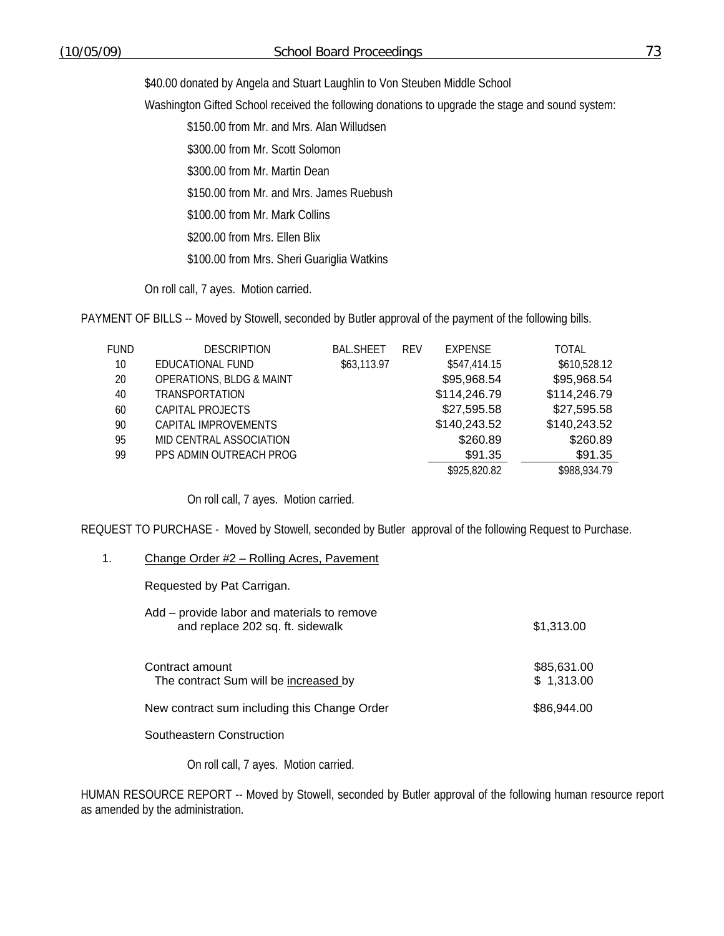\$40.00 donated by Angela and Stuart Laughlin to Von Steuben Middle School

Washington Gifted School received the following donations to upgrade the stage and sound system:

\$150.00 from Mr. and Mrs. Alan Willudsen

\$300.00 from Mr. Scott Solomon

\$300.00 from Mr. Martin Dean

\$150.00 from Mr. and Mrs. James Ruebush

\$100.00 from Mr. Mark Collins

\$200.00 from Mrs. Ellen Blix

\$100.00 from Mrs. Sheri Guariglia Watkins

On roll call, 7 ayes. Motion carried.

PAYMENT OF BILLS -- Moved by Stowell, seconded by Butler approval of the payment of the following bills.

| FUND | <b>DESCRIPTION</b>                  | <b>BAL.SHEET</b> | <b>RFV</b> | <b>EXPENSE</b> | TOTAL        |
|------|-------------------------------------|------------------|------------|----------------|--------------|
| 10   | EDUCATIONAL FUND                    | \$63,113.97      |            | \$547,414.15   | \$610,528.12 |
| 20   | <b>OPERATIONS, BLDG &amp; MAINT</b> |                  |            | \$95,968.54    | \$95,968.54  |
| 40   | <b>TRANSPORTATION</b>               |                  |            | \$114,246.79   | \$114,246.79 |
| 60   | CAPITAL PROJECTS                    |                  |            | \$27,595.58    | \$27,595.58  |
| 90   | CAPITAL IMPROVEMENTS                |                  |            | \$140,243.52   | \$140,243.52 |
| 95   | MID CENTRAL ASSOCIATION             |                  |            | \$260.89       | \$260.89     |
| 99   | PPS ADMIN OUTREACH PROG             |                  |            | \$91.35        | \$91.35      |
|      |                                     |                  |            | \$925,820.82   | \$988,934.79 |

On roll call, 7 ayes. Motion carried.

REQUEST TO PURCHASE - Moved by Stowell, seconded by Butler approval of the following Request to Purchase.

### 1. Change Order #2 - Rolling Acres, Pavement

Requested by Pat Carrigan.

| Add – provide labor and materials to remove<br>and replace 202 sq. ft. sidewalk | \$1,313.00                |
|---------------------------------------------------------------------------------|---------------------------|
| Contract amount<br>The contract Sum will be increased by                        | \$85,631.00<br>\$1,313.00 |
| New contract sum including this Change Order                                    | \$86,944,00               |
|                                                                                 |                           |

Southeastern Construction

On roll call, 7 ayes. Motion carried.

HUMAN RESOURCE REPORT -- Moved by Stowell, seconded by Butler approval of the following human resource report as amended by the administration.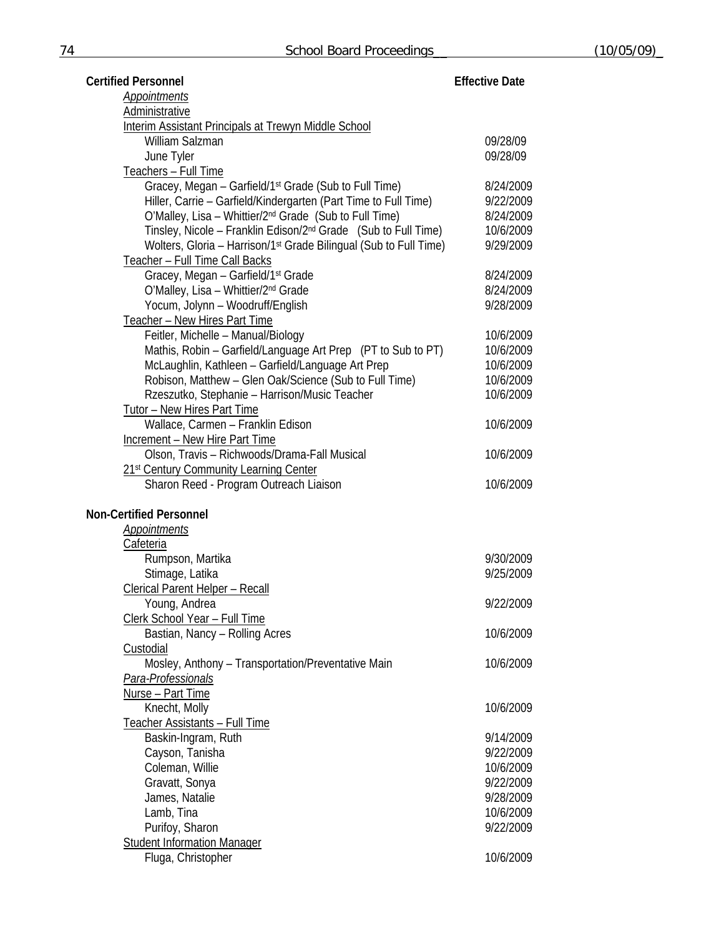| <b>Certified Personnel</b>                                                          | <b>Effective Date</b>  |
|-------------------------------------------------------------------------------------|------------------------|
| <b>Appointments</b>                                                                 |                        |
| <b>Administrative</b>                                                               |                        |
| Interim Assistant Principals at Trewyn Middle School                                |                        |
| William Salzman                                                                     | 09/28/09               |
| June Tyler                                                                          | 09/28/09               |
| Teachers - Full Time                                                                |                        |
| Gracey, Megan - Garfield/1 <sup>st</sup> Grade (Sub to Full Time)                   | 8/24/2009              |
| Hiller, Carrie - Garfield/Kindergarten (Part Time to Full Time)                     | 9/22/2009              |
| O'Malley, Lisa - Whittier/2 <sup>nd</sup> Grade (Sub to Full Time)                  | 8/24/2009              |
| Tinsley, Nicole - Franklin Edison/2 <sup>nd</sup> Grade (Sub to Full Time)          | 10/6/2009              |
| Wolters, Gloria - Harrison/1 <sup>st</sup> Grade Bilingual (Sub to Full Time)       | 9/29/2009              |
| Teacher - Full Time Call Backs                                                      |                        |
| Gracey, Megan - Garfield/1 <sup>st</sup> Grade                                      | 8/24/2009              |
| O'Malley, Lisa - Whittier/2 <sup>nd</sup> Grade<br>Yocum, Jolynn - Woodruff/English | 8/24/2009<br>9/28/2009 |
|                                                                                     |                        |
| Teacher - New Hires Part Time<br>Feitler, Michelle - Manual/Biology                 | 10/6/2009              |
| Mathis, Robin - Garfield/Language Art Prep (PT to Sub to PT)                        | 10/6/2009              |
| McLaughlin, Kathleen - Garfield/Language Art Prep                                   | 10/6/2009              |
| Robison, Matthew - Glen Oak/Science (Sub to Full Time)                              | 10/6/2009              |
| Rzeszutko, Stephanie - Harrison/Music Teacher                                       | 10/6/2009              |
| Tutor - New Hires Part Time                                                         |                        |
| Wallace, Carmen - Franklin Edison                                                   | 10/6/2009              |
| <b>Increment - New Hire Part Time</b>                                               |                        |
| Olson, Travis - Richwoods/Drama-Fall Musical                                        | 10/6/2009              |
| 21 <sup>st</sup> Century Community Learning Center                                  |                        |
| Sharon Reed - Program Outreach Liaison                                              | 10/6/2009              |
|                                                                                     |                        |
| <b>Non-Certified Personnel</b>                                                      |                        |
| Appointments                                                                        |                        |
| Cafeteria                                                                           |                        |
| Rumpson, Martika                                                                    | 9/30/2009              |
| Stimage, Latika                                                                     | 9/25/2009              |
| <b>Clerical Parent Helper - Recall</b>                                              |                        |
| Young, Andrea                                                                       | 9/22/2009              |
| Clerk School Year - Full Time<br>Bastian, Nancy - Rolling Acres                     | 10/6/2009              |
| Custodial                                                                           |                        |
| Mosley, Anthony - Transportation/Preventative Main                                  | 10/6/2009              |
| Para-Professionals                                                                  |                        |
| Nurse - Part Time                                                                   |                        |
| Knecht, Molly                                                                       | 10/6/2009              |
| Teacher Assistants - Full Time                                                      |                        |
| Baskin-Ingram, Ruth                                                                 | 9/14/2009              |
| Cayson, Tanisha                                                                     | 9/22/2009              |
| Coleman, Willie                                                                     | 10/6/2009              |
| Gravatt, Sonya                                                                      | 9/22/2009              |
| James, Natalie                                                                      | 9/28/2009              |
| Lamb, Tina                                                                          | 10/6/2009              |
| Purifoy, Sharon                                                                     | 9/22/2009              |
| <b>Student Information Manager</b>                                                  |                        |
| Fluga, Christopher                                                                  | 10/6/2009              |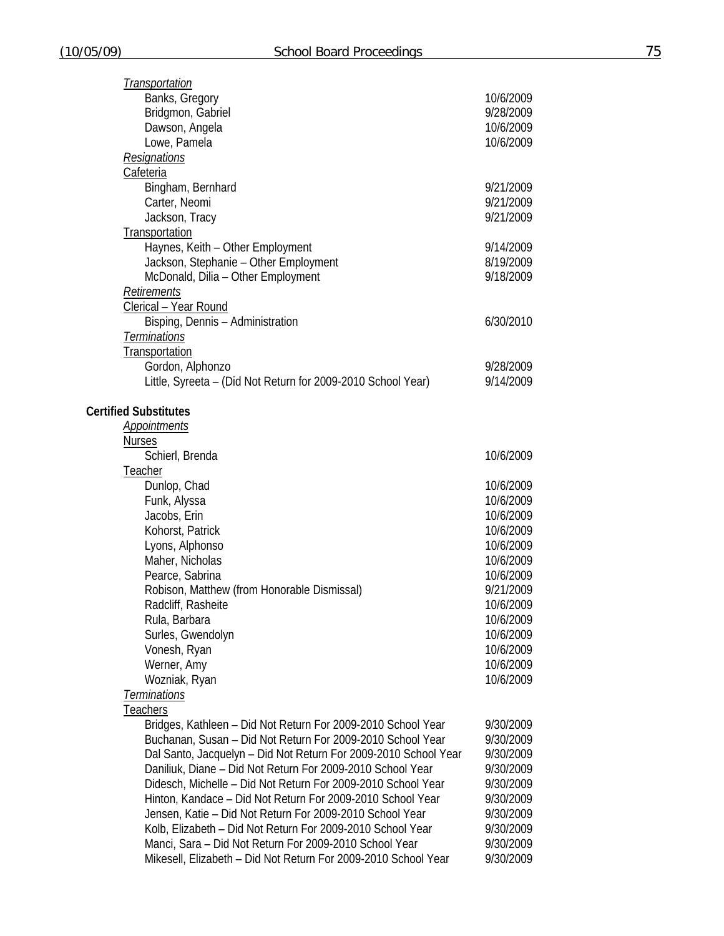| <b>Transportation</b>                                           |           |
|-----------------------------------------------------------------|-----------|
| Banks, Gregory                                                  | 10/6/2009 |
| Bridgmon, Gabriel                                               | 9/28/2009 |
| Dawson, Angela                                                  | 10/6/2009 |
| Lowe, Pamela                                                    | 10/6/2009 |
| <b>Resignations</b>                                             |           |
| Cafeteria                                                       |           |
|                                                                 |           |
| Bingham, Bernhard                                               | 9/21/2009 |
| Carter, Neomi                                                   | 9/21/2009 |
| Jackson, Tracy                                                  | 9/21/2009 |
| Transportation                                                  |           |
| Haynes, Keith - Other Employment                                | 9/14/2009 |
| Jackson, Stephanie - Other Employment                           | 8/19/2009 |
| McDonald, Dilia - Other Employment                              | 9/18/2009 |
| Retirements                                                     |           |
| Clerical - Year Round                                           |           |
| Bisping, Dennis - Administration                                | 6/30/2010 |
| Terminations                                                    |           |
| Transportation                                                  |           |
| Gordon, Alphonzo                                                | 9/28/2009 |
| Little, Syreeta – (Did Not Return for 2009-2010 School Year)    | 9/14/2009 |
|                                                                 |           |
| <b>Certified Substitutes</b>                                    |           |
| <b>Appointments</b>                                             |           |
| <b>Nurses</b>                                                   |           |
|                                                                 | 10/6/2009 |
| Schierl, Brenda                                                 |           |
| Teacher                                                         |           |
| Dunlop, Chad                                                    | 10/6/2009 |
| Funk, Alyssa                                                    | 10/6/2009 |
| Jacobs, Erin                                                    | 10/6/2009 |
| Kohorst, Patrick                                                | 10/6/2009 |
| Lyons, Alphonso                                                 | 10/6/2009 |
| Maher, Nicholas                                                 | 10/6/2009 |
| Pearce, Sabrina                                                 | 10/6/2009 |
| Robison, Matthew (from Honorable Dismissal)                     | 9/21/2009 |
| Radcliff, Rasheite                                              | 10/6/2009 |
| Rula, Barbara                                                   | 10/6/2009 |
| Surles, Gwendolyn                                               | 10/6/2009 |
| Vonesh, Ryan                                                    | 10/6/2009 |
| Werner, Amy                                                     | 10/6/2009 |
| Wozniak, Ryan                                                   | 10/6/2009 |
| <b>Terminations</b>                                             |           |
| Teachers                                                        |           |
| Bridges, Kathleen - Did Not Return For 2009-2010 School Year    | 9/30/2009 |
|                                                                 |           |
| Buchanan, Susan - Did Not Return For 2009-2010 School Year      | 9/30/2009 |
| Dal Santo, Jacquelyn - Did Not Return For 2009-2010 School Year | 9/30/2009 |
| Daniliuk, Diane - Did Not Return For 2009-2010 School Year      | 9/30/2009 |
| Didesch, Michelle - Did Not Return For 2009-2010 School Year    | 9/30/2009 |
| Hinton, Kandace - Did Not Return For 2009-2010 School Year      | 9/30/2009 |
| Jensen, Katie - Did Not Return For 2009-2010 School Year        | 9/30/2009 |
| Kolb, Elizabeth - Did Not Return For 2009-2010 School Year      | 9/30/2009 |
| Manci, Sara - Did Not Return For 2009-2010 School Year          | 9/30/2009 |
| Mikesell, Elizabeth - Did Not Return For 2009-2010 School Year  | 9/30/2009 |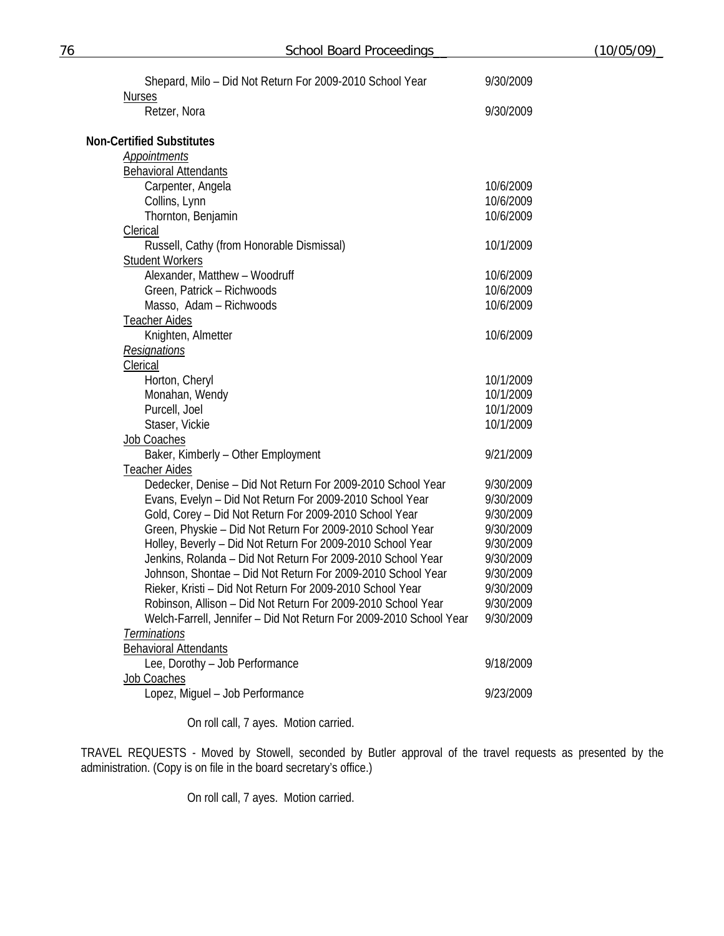| Shepard, Milo - Did Not Return For 2009-2010 School Year           | 9/30/2009 |
|--------------------------------------------------------------------|-----------|
| <b>Nurses</b><br>Retzer, Nora                                      | 9/30/2009 |
| <b>Non-Certified Substitutes</b>                                   |           |
| Appointments                                                       |           |
| <b>Behavioral Attendants</b>                                       |           |
| Carpenter, Angela                                                  | 10/6/2009 |
| Collins, Lynn                                                      | 10/6/2009 |
| Thornton, Benjamin                                                 | 10/6/2009 |
| <b>Clerical</b>                                                    |           |
| Russell, Cathy (from Honorable Dismissal)                          | 10/1/2009 |
| <b>Student Workers</b>                                             |           |
| Alexander, Matthew - Woodruff                                      | 10/6/2009 |
| Green, Patrick - Richwoods                                         | 10/6/2009 |
| Masso, Adam - Richwoods                                            | 10/6/2009 |
| <b>Teacher Aides</b>                                               |           |
| Knighten, Almetter                                                 | 10/6/2009 |
| Resignations                                                       |           |
| Clerical                                                           |           |
| Horton, Cheryl                                                     | 10/1/2009 |
| Monahan, Wendy                                                     | 10/1/2009 |
| Purcell, Joel                                                      | 10/1/2009 |
| Staser, Vickie                                                     | 10/1/2009 |
| Job Coaches                                                        |           |
| Baker, Kimberly - Other Employment                                 | 9/21/2009 |
| <b>Teacher Aides</b>                                               |           |
| Dedecker, Denise - Did Not Return For 2009-2010 School Year        | 9/30/2009 |
| Evans, Evelyn - Did Not Return For 2009-2010 School Year           | 9/30/2009 |
| Gold, Corey - Did Not Return For 2009-2010 School Year             | 9/30/2009 |
| Green, Physkie - Did Not Return For 2009-2010 School Year          | 9/30/2009 |
| Holley, Beverly - Did Not Return For 2009-2010 School Year         | 9/30/2009 |
| Jenkins, Rolanda - Did Not Return For 2009-2010 School Year        | 9/30/2009 |
| Johnson, Shontae - Did Not Return For 2009-2010 School Year        | 9/30/2009 |
| Rieker, Kristi - Did Not Return For 2009-2010 School Year          | 9/30/2009 |
| Robinson, Allison - Did Not Return For 2009-2010 School Year       | 9/30/2009 |
| Welch-Farrell, Jennifer - Did Not Return For 2009-2010 School Year | 9/30/2009 |
| <b>Terminations</b>                                                |           |
| <b>Behavioral Attendants</b>                                       |           |
| Lee, Dorothy - Job Performance                                     | 9/18/2009 |
| Job Coaches                                                        |           |
| Lopez, Miguel - Job Performance                                    | 9/23/2009 |

On roll call, 7 ayes. Motion carried.

TRAVEL REQUESTS - Moved by Stowell, seconded by Butler approval of the travel requests as presented by the administration. (Copy is on file in the board secretary's office.)

On roll call, 7 ayes. Motion carried.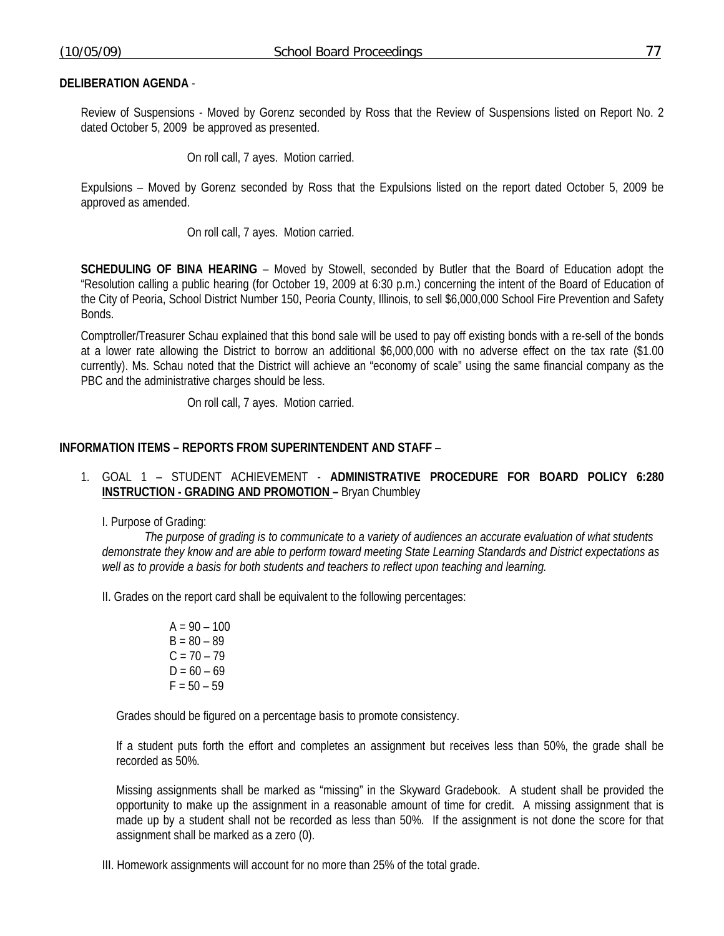Review of Suspensions - Moved by Gorenz seconded by Ross that the Review of Suspensions listed on Report No. 2 dated October 5, 2009 be approved as presented.

On roll call, 7 ayes. Motion carried.

Expulsions – Moved by Gorenz seconded by Ross that the Expulsions listed on the report dated October 5, 2009 be approved as amended.

On roll call, 7 ayes. Motion carried.

**SCHEDULING OF BINA HEARING** – Moved by Stowell, seconded by Butler that the Board of Education adopt the "Resolution calling a public hearing (for October 19, 2009 at 6:30 p.m.) concerning the intent of the Board of Education of the City of Peoria, School District Number 150, Peoria County, Illinois, to sell \$6,000,000 School Fire Prevention and Safety Bonds.

Comptroller/Treasurer Schau explained that this bond sale will be used to pay off existing bonds with a re-sell of the bonds at a lower rate allowing the District to borrow an additional \$6,000,000 with no adverse effect on the tax rate (\$1.00 currently). Ms. Schau noted that the District will achieve an "economy of scale" using the same financial company as the PBC and the administrative charges should be less.

On roll call, 7 ayes. Motion carried.

### **INFORMATION ITEMS – REPORTS FROM SUPERINTENDENT AND STAFF** –

# 1. GOAL 1 – STUDENT ACHIEVEMENT - **ADMINISTRATIVE PROCEDURE FOR BOARD POLICY 6:280 INSTRUCTION - GRADING AND PROMOTION –** Bryan Chumbley

I. Purpose of Grading:

*The purpose of grading is to communicate to a variety of audiences an accurate evaluation of what students demonstrate they know and are able to perform toward meeting State Learning Standards and District expectations as well as to provide a basis for both students and teachers to reflect upon teaching and learning.*

II. Grades on the report card shall be equivalent to the following percentages:

 $A = 90 - 100$  $B = 80 - 89$  $C = 70 - 79$  $D = 60 - 69$  $F = 50 - 59$ 

Grades should be figured on a percentage basis to promote consistency.

If a student puts forth the effort and completes an assignment but receives less than 50%, the grade shall be recorded as 50%.

Missing assignments shall be marked as "missing" in the Skyward Gradebook. A student shall be provided the opportunity to make up the assignment in a reasonable amount of time for credit. A missing assignment that is made up by a student shall not be recorded as less than 50%. If the assignment is not done the score for that assignment shall be marked as a zero (0).

III. Homework assignments will account for no more than 25% of the total grade.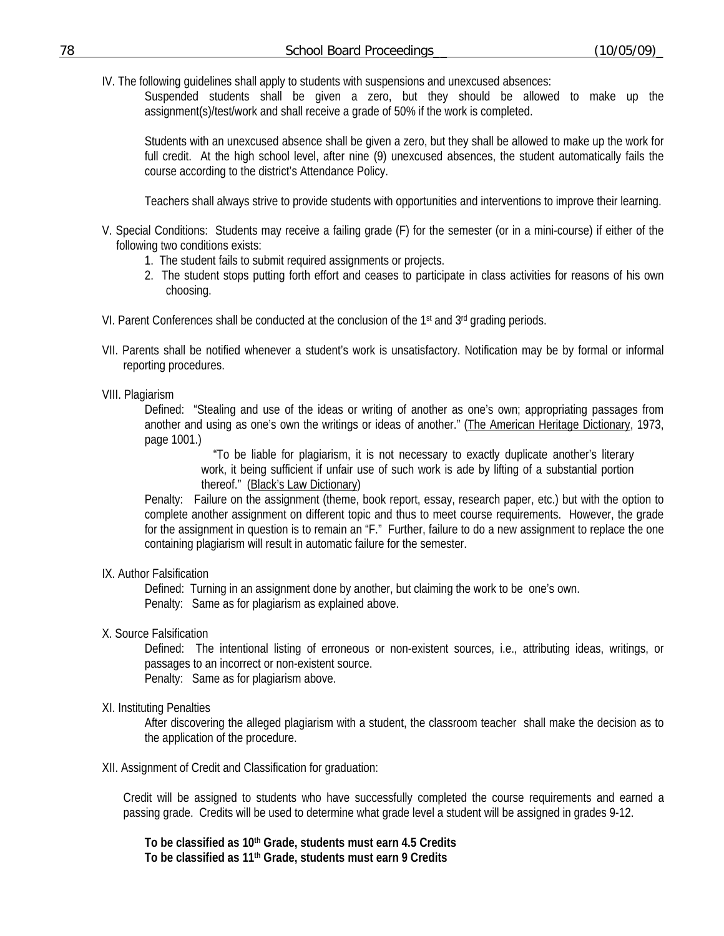IV. The following guidelines shall apply to students with suspensions and unexcused absences:

Suspended students shall be given a zero, but they should be allowed to make up the assignment(s)/test/work and shall receive a grade of 50% if the work is completed.

Students with an unexcused absence shall be given a zero, but they shall be allowed to make up the work for full credit. At the high school level, after nine (9) unexcused absences, the student automatically fails the course according to the district's Attendance Policy.

Teachers shall always strive to provide students with opportunities and interventions to improve their learning.

- V. Special Conditions: Students may receive a failing grade (F) for the semester (or in a mini-course) if either of the following two conditions exists:
	- 1. The student fails to submit required assignments or projects.
	- 2. The student stops putting forth effort and ceases to participate in class activities for reasons of his own choosing.
- VI. Parent Conferences shall be conducted at the conclusion of the 1st and  $3<sup>rd</sup>$  grading periods.
- VII. Parents shall be notified whenever a student's work is unsatisfactory. Notification may be by formal or informal reporting procedures.

# VIII. Plagiarism

Defined: "Stealing and use of the ideas or writing of another as one's own; appropriating passages from another and using as one's own the writings or ideas of another." (The American Heritage Dictionary, 1973, page 1001.)

> "To be liable for plagiarism, it is not necessary to exactly duplicate another's literary work, it being sufficient if unfair use of such work is ade by lifting of a substantial portion thereof." (Black's Law Dictionary)

Penalty: Failure on the assignment (theme, book report, essay, research paper, etc.) but with the option to complete another assignment on different topic and thus to meet course requirements. However, the grade for the assignment in question is to remain an "F." Further, failure to do a new assignment to replace the one containing plagiarism will result in automatic failure for the semester.

### IX. Author Falsification

 Defined: Turning in an assignment done by another, but claiming the work to be one's own. Penalty: Same as for plagiarism as explained above.

X. Source Falsification

 Defined: The intentional listing of erroneous or non-existent sources, i.e., attributing ideas, writings, or passages to an incorrect or non-existent source.

Penalty: Same as for plagiarism above.

XI. Instituting Penalties

 After discovering the alleged plagiarism with a student, the classroom teacher shall make the decision as to the application of the procedure.

XII. Assignment of Credit and Classification for graduation:

Credit will be assigned to students who have successfully completed the course requirements and earned a passing grade. Credits will be used to determine what grade level a student will be assigned in grades 9-12.

**To be classified as 10th Grade, students must earn 4.5 Credits To be classified as 11th Grade, students must earn 9 Credits**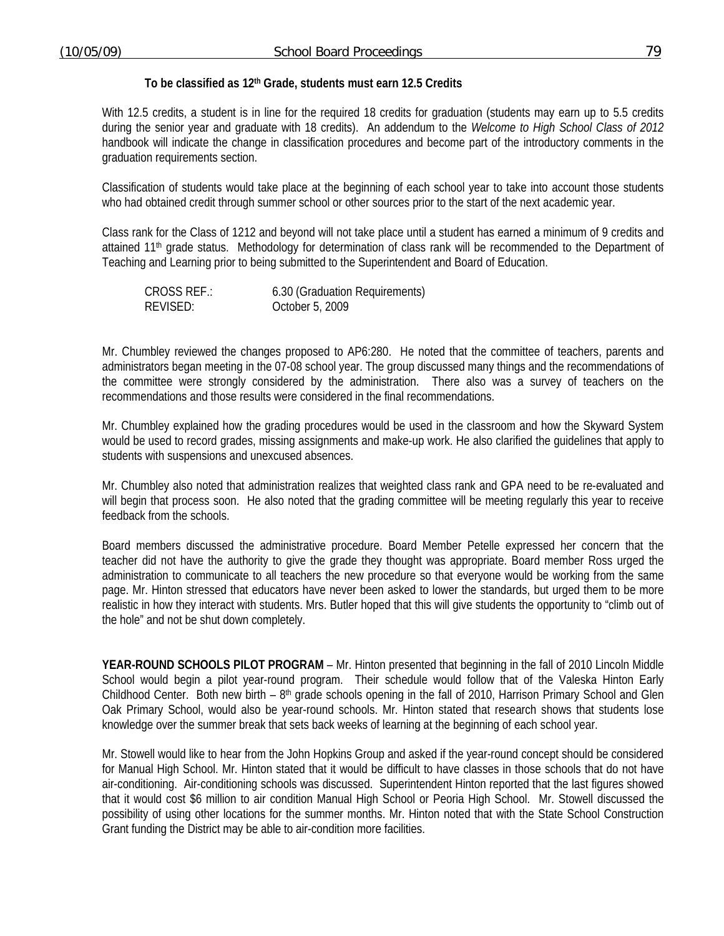#### **To be classified as 12th Grade, students must earn 12.5 Credits**

With 12.5 credits, a student is in line for the required 18 credits for graduation (students may earn up to 5.5 credits during the senior year and graduate with 18 credits). An addendum to the *Welcome to High School Class of 2012*  handbook will indicate the change in classification procedures and become part of the introductory comments in the graduation requirements section.

Classification of students would take place at the beginning of each school year to take into account those students who had obtained credit through summer school or other sources prior to the start of the next academic year.

Class rank for the Class of 1212 and beyond will not take place until a student has earned a minimum of 9 credits and attained 11<sup>th</sup> grade status. Methodology for determination of class rank will be recommended to the Department of Teaching and Learning prior to being submitted to the Superintendent and Board of Education.

| <b>CROSS REF.:</b> | 6.30 (Graduation Requirements) |
|--------------------|--------------------------------|
| REVISED:           | October 5, 2009                |

Mr. Chumbley reviewed the changes proposed to AP6:280. He noted that the committee of teachers, parents and administrators began meeting in the 07-08 school year. The group discussed many things and the recommendations of the committee were strongly considered by the administration. There also was a survey of teachers on the recommendations and those results were considered in the final recommendations.

Mr. Chumbley explained how the grading procedures would be used in the classroom and how the Skyward System would be used to record grades, missing assignments and make-up work. He also clarified the guidelines that apply to students with suspensions and unexcused absences.

Mr. Chumbley also noted that administration realizes that weighted class rank and GPA need to be re-evaluated and will begin that process soon. He also noted that the grading committee will be meeting regularly this year to receive feedback from the schools.

Board members discussed the administrative procedure. Board Member Petelle expressed her concern that the teacher did not have the authority to give the grade they thought was appropriate. Board member Ross urged the administration to communicate to all teachers the new procedure so that everyone would be working from the same page. Mr. Hinton stressed that educators have never been asked to lower the standards, but urged them to be more realistic in how they interact with students. Mrs. Butler hoped that this will give students the opportunity to "climb out of the hole" and not be shut down completely.

**YEAR-ROUND SCHOOLS PILOT PROGRAM** – Mr. Hinton presented that beginning in the fall of 2010 Lincoln Middle School would begin a pilot year-round program. Their schedule would follow that of the Valeska Hinton Early Childhood Center. Both new birth –  $8<sup>th</sup>$  grade schools opening in the fall of 2010, Harrison Primary School and Glen Oak Primary School, would also be year-round schools. Mr. Hinton stated that research shows that students lose knowledge over the summer break that sets back weeks of learning at the beginning of each school year.

 Mr. Stowell would like to hear from the John Hopkins Group and asked if the year-round concept should be considered for Manual High School. Mr. Hinton stated that it would be difficult to have classes in those schools that do not have air-conditioning. Air-conditioning schools was discussed. Superintendent Hinton reported that the last figures showed that it would cost \$6 million to air condition Manual High School or Peoria High School. Mr. Stowell discussed the possibility of using other locations for the summer months. Mr. Hinton noted that with the State School Construction Grant funding the District may be able to air-condition more facilities.